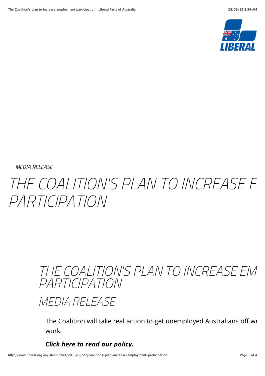

*MEDIA RELEASE*

## THE COALITION'S PLAN TO INCREASE F *PARTICIPATION*

## THE COALITION'S PLAN TO INCREASE EM *PARTICIPATION*

*MEDIA RELEASE*

The Coalition will take real action to get unemployed Australians off we work.

*Click here to read our policy.*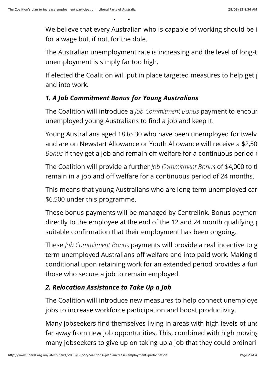*Click here to read our policy.*

We believe that every Australian who is capable of working should be i for a wage but, if not, for the dole.

The Australian unemployment rate is increasing and the level of long-term unemployment is simply far too high.

If elected the Coalition will put in place targeted measures to help get  $\mu$ and into work.

## *1. A Job Commitment Bonus for Young Australians*

The Coalition will introduce a *Job Commitment Bonus* payment to encour unemployed young Australians to find a job and keep it.

Young Australians aged 18 to 30 who have been unemployed for twelv and are on Newstart Allowance or Youth Allowance will receive a \$2,50 *Bonus* if they get a job and remain off welfare for a continuous period of

The Coalition will provide a further *Job Commitment Bonus* of \$4,000 to the remain in a job and off welfare for a continuous period of 24 months.

This means that young Australians who are long-term unemployed car \$6,500 under this programme.

These bonus payments will be managed by Centrelink. Bonus payment directly to the employee at the end of the 12 and 24 month qualifying  $\mu$ suitable confirmation that their employment has been ongoing.

These *Job Commitment Bonus* payments will provide a real incentive to g term unemployed Australians off welfare and into paid work. Making the payments of conditional upon retaining work for an extended period provides a further incentive for those who secure a job to remain employed.

## *2. Relocation Assistance to Take Up a Job*

The Coalition will introduce new measures to help connect unemploye jobs to increase workforce participation and boost productivity.

Many jobseekers find themselves living in areas with high levels of un $\epsilon$ far away from new job opportunities. This, combined with high moving many jobseekers to give up on taking up a job that they could ordinaril